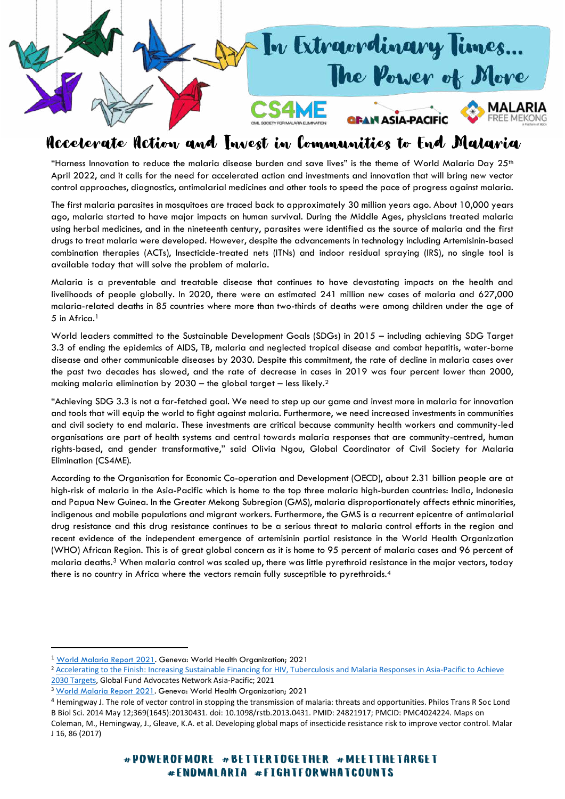

## Accelerate Action and Invest in Communities to End Malaria

"Harness Innovation to reduce the malaria disease burden and save lives" is the theme of World Malaria Day  $25<sup>th</sup>$ April 2022, and it calls for the need for accelerated action and investments and innovation that will bring new vector control approaches, diagnostics, antimalarial medicines and other tools to speed the pace of progress against malaria.

The first malaria parasites in mosquitoes are traced back to approximately 30 million years ago. About 10,000 years ago, malaria started to have major impacts on human survival. During the Middle Ages, physicians treated malaria using herbal medicines, and in the nineteenth century, parasites were identified as the source of malaria and the first drugs to treat malaria were developed. However, despite the advancements in technology including Artemisinin-based combination therapies (ACTs), Insecticide-treated nets (ITNs) and indoor residual spraying (IRS), no single tool is available today that will solve the problem of malaria.

Malaria is a preventable and treatable disease that continues to have devastating impacts on the health and livelihoods of people globally. In 2020, there were an estimated 241 million new cases of malaria and 627,000 malaria-related deaths in 85 countries where more than two-thirds of deaths were among children under the age of 5 in Africa.<sup>1</sup>

World leaders committed to the Sustainable Development Goals (SDGs) in 2015 – including achieving SDG Target 3.3 of ending the epidemics of AIDS, TB, malaria and neglected tropical disease and combat hepatitis, water-borne disease and other communicable diseases by 2030. Despite this commitment, the rate of decline in malaria cases over the past two decades has slowed, and the rate of decrease in cases in 2019 was four percent lower than 2000, making malaria elimination by 2030 – the global target – less likely.<sup>2</sup>

"Achieving SDG 3.3 is not a far-fetched goal. We need to step up our game and invest more in malaria for innovation and tools that will equip the world to fight against malaria. Furthermore, we need increased investments in communities and civil society to end malaria. These investments are critical because community health workers and community-led organisations are part of health systems and central towards malaria responses that are community-centred, human rights-based, and gender transformative," said Olivia Ngou, Global Coordinator of Civil Society for Malaria Elimination (CS4ME).

According to the Organisation for Economic Co-operation and Development (OECD), about 2.31 billion people are at high-risk of malaria in the Asia-Pacific which is home to the top three malaria high-burden countries: India, Indonesia and Papua New Guinea. In the Greater Mekong Subregion (GMS), malaria disproportionately affects ethnic minorities, indigenous and mobile populations and migrant workers. Furthermore, the GMS is a recurrent epicentre of antimalarial drug resistance and this drug resistance continues to be a serious threat to malaria control efforts in the region and recent evidence of the independent emergence of artemisinin partial resistance in the World Health Organization (WHO) African Region. This is of great global concern as it is home to 95 percent of malaria cases and 96 percent of malaria deaths.3 When malaria control was scaled up, there was little pyrethroid resistance in the major vectors, today there is no country in Africa where the vectors remain fully susceptible to pyrethroids.<sup>4</sup>

<sup>1</sup> [World Malaria Report 2021.](https://www.who.int/publications/i/item/9789240040496) Geneva: World Health Organization; 2021

<sup>&</sup>lt;sup>2</sup> Accelerating to the Finish: Increasing Sustainable Financing for HIV, Tuberculosis and Malaria Responses in Asia-Pacific to Achieve [2030 Targets,](https://gfanasiapacific.org/wp-content/uploads/2022/02/Final_Accelerating-to-Finish_GFAN-AP.pdf) Global Fund Advocates Network Asia-Pacific; 2021

<sup>&</sup>lt;sup>3</sup> World Malaria Report 2021</u>. Geneva: World Health Organization; 2021

<sup>4</sup> Hemingway J. The role of vector control in stopping the transmission of malaria: threats and opportunities. Philos Trans R Soc Lond B Biol Sci. 2014 May 12;369(1645):20130431. doi: 10.1098/rstb.2013.0431. PMID: 24821917; PMCID: PMC4024224. Maps on Coleman, M., Hemingway, J., Gleave, K.A. et al. Developing global maps of insecticide resistance risk to improve vector control. Malar J 16, 86 (2017)